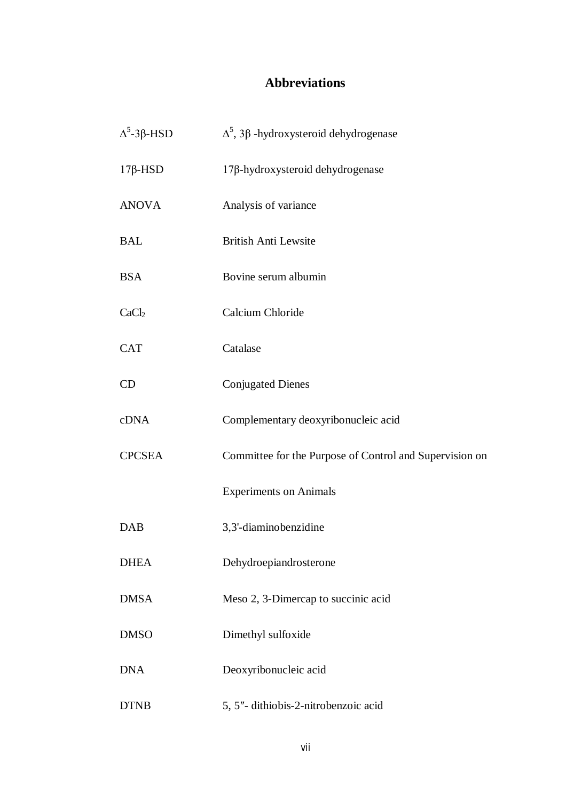## **Abbreviations**

| $\Delta^5$ -3 $\beta$ -HSD | $\Delta^5$ , 3 $\beta$ -hydroxysteroid dehydrogenase    |
|----------------------------|---------------------------------------------------------|
| $17\beta$ -HSD             | 17β-hydroxysteroid dehydrogenase                        |
| <b>ANOVA</b>               | Analysis of variance                                    |
| <b>BAL</b>                 | <b>British Anti Lewsite</b>                             |
| <b>BSA</b>                 | Bovine serum albumin                                    |
| CaCl <sub>2</sub>          | Calcium Chloride                                        |
| <b>CAT</b>                 | Catalase                                                |
| CD                         | <b>Conjugated Dienes</b>                                |
| cDNA                       | Complementary deoxyribonucleic acid                     |
| <b>CPCSEA</b>              | Committee for the Purpose of Control and Supervision on |
|                            | <b>Experiments on Animals</b>                           |
| <b>DAB</b>                 | 3,3'-diaminobenzidine                                   |
| <b>DHEA</b>                | Dehydroepiandrosterone                                  |
| <b>DMSA</b>                | Meso 2, 3-Dimercap to succinic acid                     |
| <b>DMSO</b>                | Dimethyl sulfoxide                                      |
| <b>DNA</b>                 | Deoxyribonucleic acid                                   |
| <b>DTNB</b>                | 5, 5"- dithiobis-2-nitrobenzoic acid                    |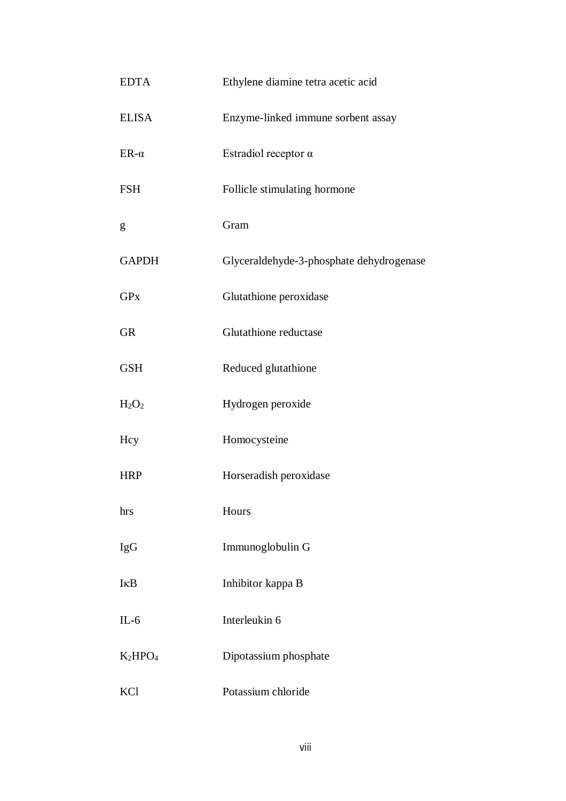| <b>EDTA</b>  | Ethylene diamine tetra acetic acid       |
|--------------|------------------------------------------|
| <b>ELISA</b> | Enzyme-linked immune sorbent assay       |
| $ER-\alpha$  | Estradiol receptor $\alpha$              |
| <b>FSH</b>   | Follicle stimulating hormone             |
| g            | Gram                                     |
| <b>GAPDH</b> | Glyceraldehyde-3-phosphate dehydrogenase |
| <b>GPx</b>   | Glutathione peroxidase                   |
| <b>GR</b>    | Glutathione reductase                    |
| <b>GSH</b>   | Reduced glutathione                      |
| $H_2O_2$     | Hydrogen peroxide                        |
| Hcy          | Homocysteine                             |
| <b>HRP</b>   | Horseradish peroxidase                   |
| hrs          | Hours                                    |
| <b>IgG</b>   | Immunoglobulin G                         |
| IKB          | Inhibitor kappa B                        |
| $IL-6$       | Interleukin 6                            |
| $K_2HPO_4$   | Dipotassium phosphate                    |
| KCl          | Potassium chloride                       |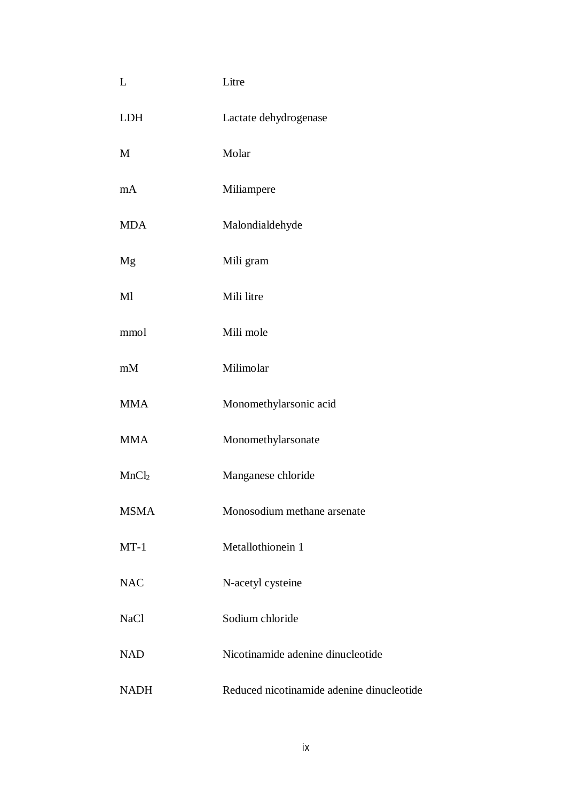| L                 | Litre                                     |
|-------------------|-------------------------------------------|
| <b>LDH</b>        | Lactate dehydrogenase                     |
| M                 | Molar                                     |
| mA                | Miliampere                                |
| <b>MDA</b>        | Malondialdehyde                           |
| Mg                | Mili gram                                 |
| Ml                | Mili litre                                |
| mmol              | Mili mole                                 |
| mM                | Milimolar                                 |
| <b>MMA</b>        | Monomethylarsonic acid                    |
| <b>MMA</b>        | Monomethylarsonate                        |
| MnCl <sub>2</sub> | Manganese chloride                        |
| <b>MSMA</b>       | Monosodium methane arsenate               |
| $MT-1$            | Metallothionein 1                         |
| <b>NAC</b>        | N-acetyl cysteine                         |
| NaCl              | Sodium chloride                           |
| <b>NAD</b>        | Nicotinamide adenine dinucleotide         |
| <b>NADH</b>       | Reduced nicotinamide adenine dinucleotide |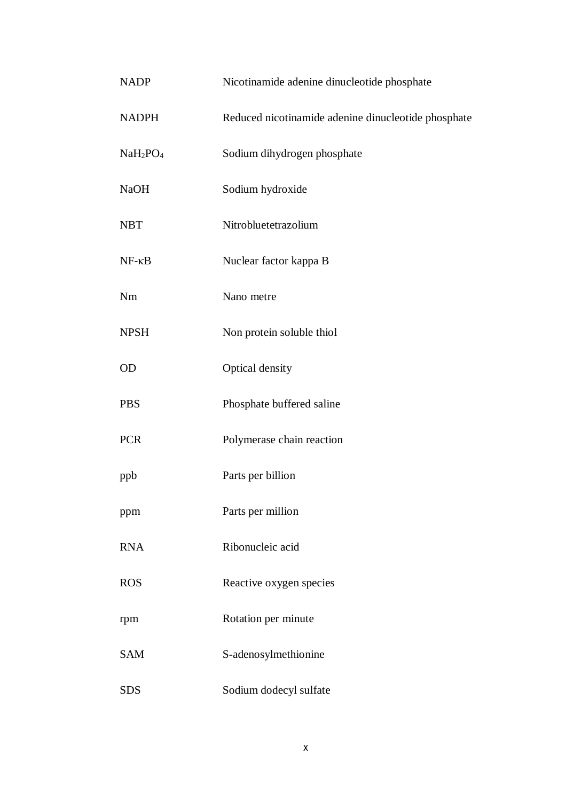| <b>NADP</b>                      | Nicotinamide adenine dinucleotide phosphate         |
|----------------------------------|-----------------------------------------------------|
| <b>NADPH</b>                     | Reduced nicotinamide adenine dinucleotide phosphate |
| NaH <sub>2</sub> PO <sub>4</sub> | Sodium dihydrogen phosphate                         |
| <b>NaOH</b>                      | Sodium hydroxide                                    |
| <b>NBT</b>                       | Nitrobluetetrazolium                                |
| $NF - \kappa B$                  | Nuclear factor kappa B                              |
| Nm                               | Nano metre                                          |
| <b>NPSH</b>                      | Non protein soluble thiol                           |
| OD                               | Optical density                                     |
| <b>PBS</b>                       | Phosphate buffered saline                           |
| <b>PCR</b>                       | Polymerase chain reaction                           |
| ppb                              | Parts per billion                                   |
| ppm                              | Parts per million                                   |
| <b>RNA</b>                       | Ribonucleic acid                                    |
| <b>ROS</b>                       | Reactive oxygen species                             |
| rpm                              | Rotation per minute                                 |
| <b>SAM</b>                       | S-adenosylmethionine                                |
| <b>SDS</b>                       | Sodium dodecyl sulfate                              |